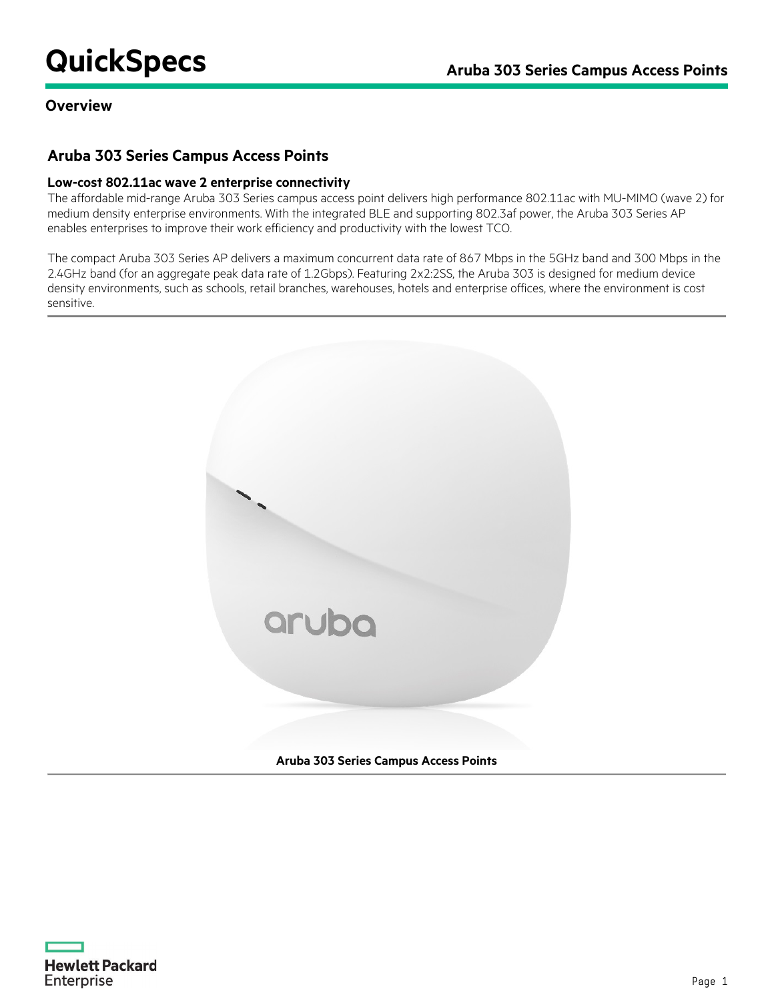## **Overview**

## **Aruba 303 Series Campus Access Points**

#### **Low-cost 802.11ac wave 2 enterprise connectivity**

The affordable mid-range Aruba 303 Series campus access point delivers high performance 802.11ac with MU-MIMO (wave 2) for medium density enterprise environments. With the integrated BLE and supporting 802.3af power, the Aruba 303 Series AP enables enterprises to improve their work efficiency and productivity with the lowest TCO.

The compact Aruba 303 Series AP delivers a maximum concurrent data rate of 867 Mbps in the 5GHz band and 300 Mbps in the 2.4GHz band (for an aggregate peak data rate of 1.2Gbps). Featuring 2x2:2SS, the Aruba 303 is designed for medium device density environments, such as schools, retail branches, warehouses, hotels and enterprise offices, where the environment is cost sensitive.



**Aruba 303 Series Campus Access Points**

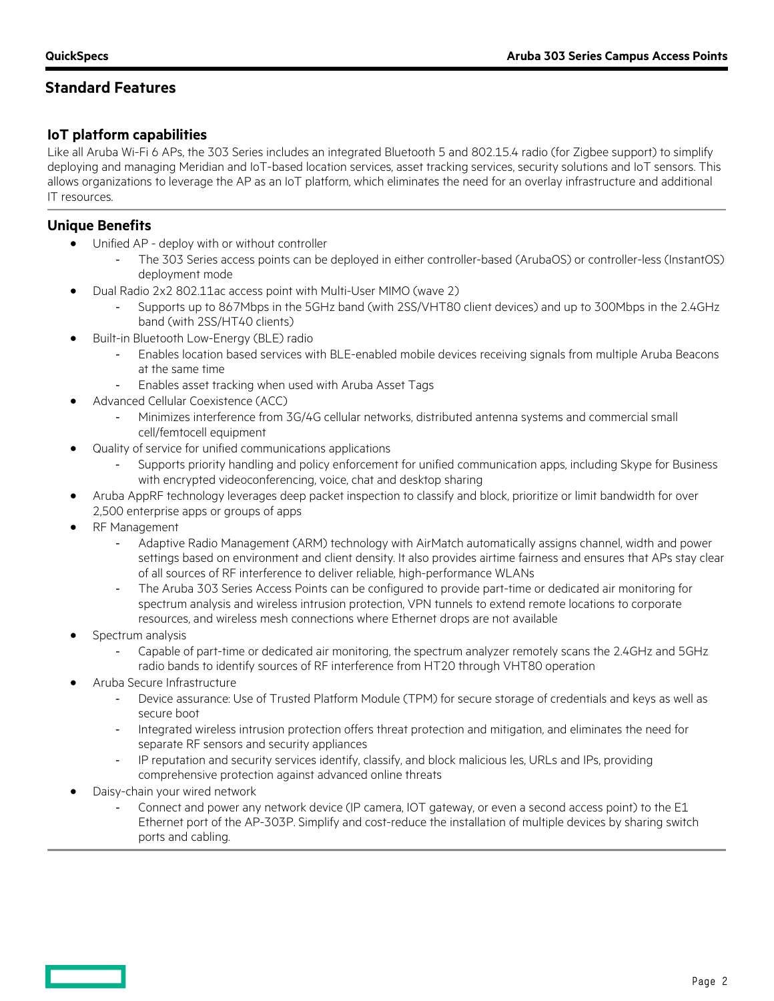# **IoT platform capabilities**

Like all Aruba Wi-Fi 6 APs, the 303 Series includes an integrated Bluetooth 5 and 802.15.4 radio (for Zigbee support) to simplify deploying and managing Meridian and IoT-based location services, asset tracking services, security solutions and IoT sensors. This allows organizations to leverage the AP as an IoT platform, which eliminates the need for an overlay infrastructure and additional IT resources.

## **Unique Benefits**

- Unified AP deploy with or without controller
	- The 303 Series access points can be deployed in either controller-based (ArubaOS) or controller-less (InstantOS) deployment mode
- Dual Radio 2x2 802.11ac access point with Multi-User MIMO (wave 2)
	- Supports up to 867Mbps in the 5GHz band (with 2SS/VHT80 client devices) and up to 300Mbps in the 2.4GHz band (with 2SS/HT40 clients)
- Built-in Bluetooth Low-Energy (BLE) radio
	- Enables location based services with BLE-enabled mobile devices receiving signals from multiple Aruba Beacons at the same time
	- Enables asset tracking when used with Aruba Asset Tags
- Advanced Cellular Coexistence (ACC)
	- Minimizes interference from 3G/4G cellular networks, distributed antenna systems and commercial small cell/femtocell equipment
- Quality of service for unified communications applications
	- Supports priority handling and policy enforcement for unified communication apps, including Skype for Business with encrypted videoconferencing, voice, chat and desktop sharing
- Aruba AppRF technology leverages deep packet inspection to classify and block, prioritize or limit bandwidth for over 2,500 enterprise apps or groups of apps
- RF Management
	- Adaptive Radio Management (ARM) technology with AirMatch automatically assigns channel, width and power settings based on environment and client density. It also provides airtime fairness and ensures that APs stay clear of all sources of RF interference to deliver reliable, high-performance WLANs
	- The Aruba 303 Series Access Points can be configured to provide part-time or dedicated air monitoring for spectrum analysis and wireless intrusion protection, VPN tunnels to extend remote locations to corporate resources, and wireless mesh connections where Ethernet drops are not available
- Spectrum analysis
	- Capable of part-time or dedicated air monitoring, the spectrum analyzer remotely scans the 2.4GHz and 5GHz radio bands to identify sources of RF interference from HT20 through VHT80 operation
- Aruba Secure Infrastructure
	- Device assurance: Use of Trusted Platform Module (TPM) for secure storage of credentials and keys as well as secure boot
	- Integrated wireless intrusion protection offers threat protection and mitigation, and eliminates the need for separate RF sensors and security appliances
	- IP reputation and security services identify, classify, and block malicious les, URLs and IPs, providing comprehensive protection against advanced online threats
- Daisy-chain your wired network
	- Connect and power any network device (IP camera, IOT gateway, or even a second access point) to the E1 Ethernet port of the AP-303P. Simplify and cost-reduce the installation of multiple devices by sharing switch ports and cabling.

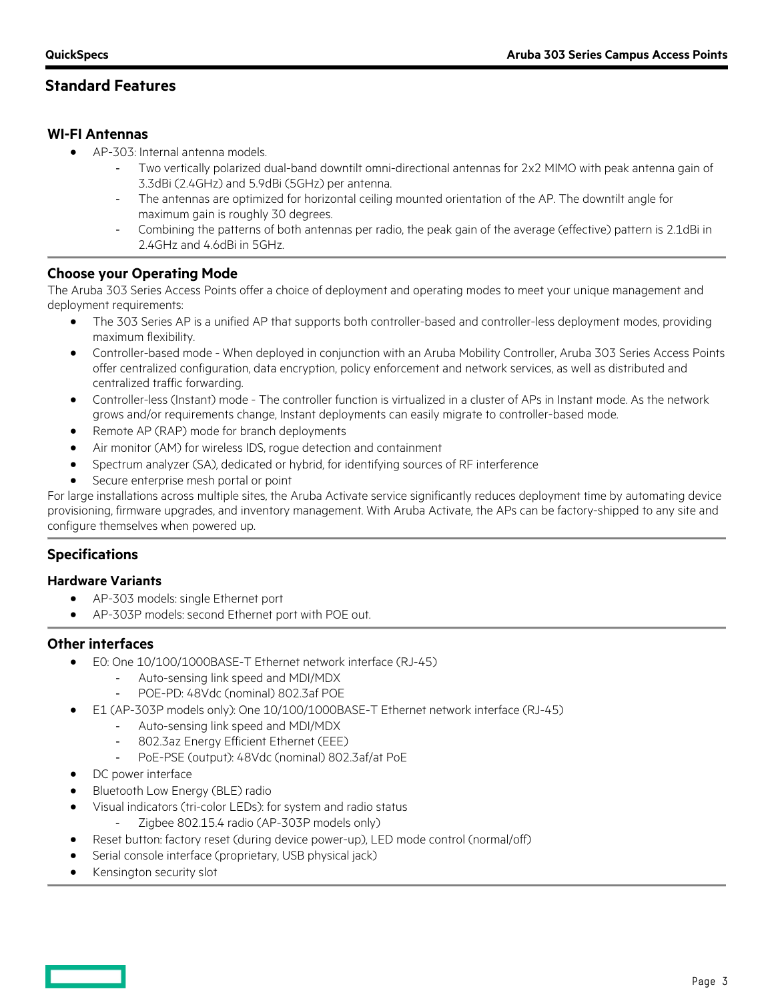## **WI-FI Antennas**

- AP-303: Internal antenna models.
	- Two vertically polarized dual-band downtilt omni-directional antennas for 2x2 MIMO with peak antenna gain of 3.3dBi (2.4GHz) and 5.9dBi (5GHz) per antenna.
	- The antennas are optimized for horizontal ceiling mounted orientation of the AP. The downtilt angle for maximum gain is roughly 30 degrees.
	- Combining the patterns of both antennas per radio, the peak gain of the average (effective) pattern is 2.1dBi in 2.4GHz and 4.6dBi in 5GHz.

## **Choose your Operating Mode**

The Aruba 303 Series Access Points offer a choice of deployment and operating modes to meet your unique management and deployment requirements:

- The 303 Series AP is a unified AP that supports both controller-based and controller-less deployment modes, providing maximum flexibility.
- Controller-based mode When deployed in conjunction with an Aruba Mobility Controller, Aruba 303 Series Access Points offer centralized configuration, data encryption, policy enforcement and network services, as well as distributed and centralized traffic forwarding.
- Controller-less (Instant) mode The controller function is virtualized in a cluster of APs in Instant mode. As the network grows and/or requirements change, Instant deployments can easily migrate to controller-based mode.
- Remote AP (RAP) mode for branch deployments
- Air monitor (AM) for wireless IDS, rogue detection and containment
- Spectrum analyzer (SA), dedicated or hybrid, for identifying sources of RF interference
- Secure enterprise mesh portal or point

For large installations across multiple sites, the Aruba Activate service significantly reduces deployment time by automating device provisioning, firmware upgrades, and inventory management. With Aruba Activate, the APs can be factory-shipped to any site and configure themselves when powered up.

## **Specifications**

#### **Hardware Variants**

- AP-303 models: single Ethernet port
	- AP-303P models: second Ethernet port with POE out.

#### **Other interfaces**

- E0: One 10/100/1000BASE-T Ethernet network interface (RJ-45)
	- Auto-sensing link speed and MDI/MDX
	- POE-PD: 48Vdc (nominal) 802.3af POE
- E1 (AP-303P models only): One 10/100/1000BASE-T Ethernet network interface (RJ-45)
	- Auto-sensing link speed and MDI/MDX
	- 802.3az Energy Efficient Ethernet (EEE)
	- PoE-PSE (output): 48Vdc (nominal) 802.3af/at PoE
- DC power interface
- Bluetooth Low Energy (BLE) radio
- Visual indicators (tri-color LEDs): for system and radio status
	- Zigbee 802.15.4 radio (AP-303P models only)
- Reset button: factory reset (during device power-up), LED mode control (normal/off)
- Serial console interface (proprietary, USB physical jack)
- Kensington security slot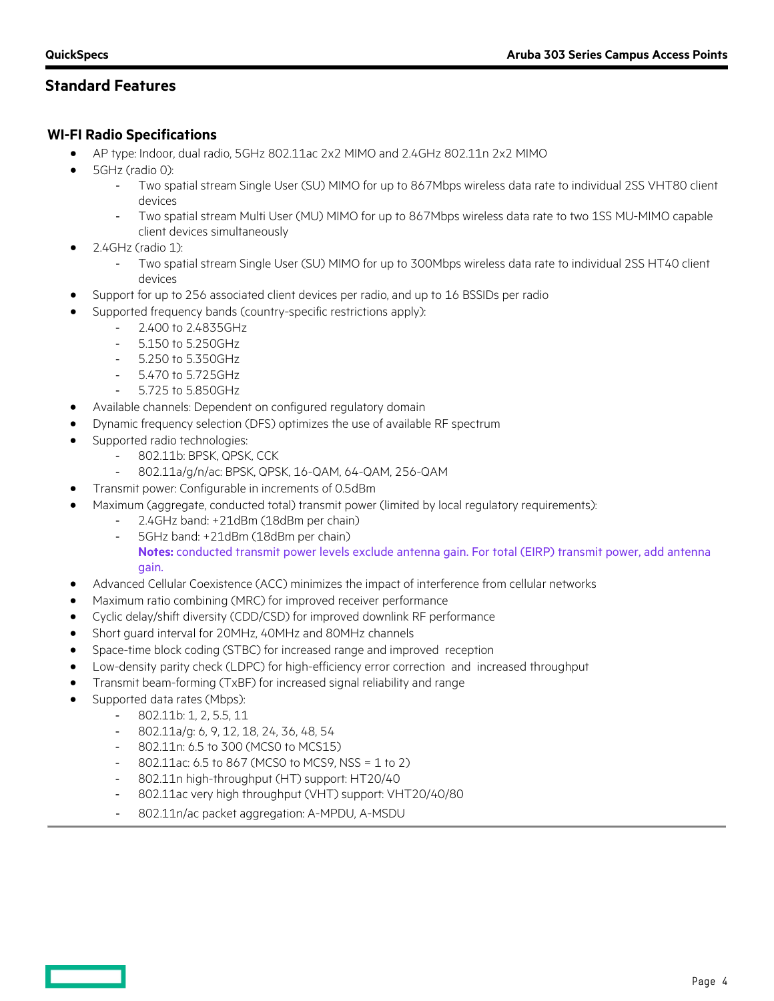## **WI-FI Radio Specifications**

- AP type: Indoor, dual radio, 5GHz 802.11ac 2x2 MIMO and 2.4GHz 802.11n 2x2 MIMO
- 5GHz (radio 0):
	- Two spatial stream Single User (SU) MIMO for up to 867Mbps wireless data rate to individual 2SS VHT80 client devices
	- Two spatial stream Multi User (MU) MIMO for up to 867Mbps wireless data rate to two 1SS MU-MIMO capable client devices simultaneously
- $\bullet$  2.4GHz (radio 1):
	- Two spatial stream Single User (SU) MIMO for up to 300Mbps wireless data rate to individual 2SS HT40 client devices
- Support for up to 256 associated client devices per radio, and up to 16 BSSIDs per radio
- Supported frequency bands (country-specific restrictions apply):
	- 2.400 to 2.4835GHz
	- 5.150 to 5.250GHz
	- 5.250 to 5.350GHz
	- 5.470 to 5.725GHz
	- 5.725 to 5.850GHz
- Available channels: Dependent on configured regulatory domain
- Dynamic frequency selection (DFS) optimizes the use of available RF spectrum
- Supported radio technologies:
	- 802.11b: BPSK, QPSK, CCK
	- 802.11a/g/n/ac: BPSK, QPSK, 16-QAM, 64-QAM, 256-QAM
- Transmit power: Configurable in increments of 0.5dBm
- Maximum (aggregate, conducted total) transmit power (limited by local regulatory requirements):
	- 2.4GHz band: +21dBm (18dBm per chain)
		- 5GHz band: +21dBm (18dBm per chain) **Notes:** conducted transmit power levels exclude antenna gain. For total (EIRP) transmit power, add antenna

#### gain.

- Advanced Cellular Coexistence (ACC) minimizes the impact of interference from cellular networks
- Maximum ratio combining (MRC) for improved receiver performance
- Cyclic delay/shift diversity (CDD/CSD) for improved downlink RF performance
- Short guard interval for 20MHz, 40MHz and 80MHz channels
- Space-time block coding (STBC) for increased range and improved reception
- Low-density parity check (LDPC) for high-efficiency error correction and increased throughput
- Transmit beam-forming (TxBF) for increased signal reliability and range
- Supported data rates (Mbps):
	- 802.11b: 1, 2, 5.5, 11
	- 802.11a/g: 6, 9, 12, 18, 24, 36, 48, 54
	- 802.11n: 6.5 to 300 (MCS0 to MCS15)
	- $-$  802.11ac: 6.5 to 867 (MCS0 to MCS9, NSS = 1 to 2)
	- 802.11n high-throughput (HT) support: HT20/40
	- 802.11ac very high throughput (VHT) support: VHT20/40/80
	- 802.11n/ac packet aggregation: A-MPDU, A-MSDU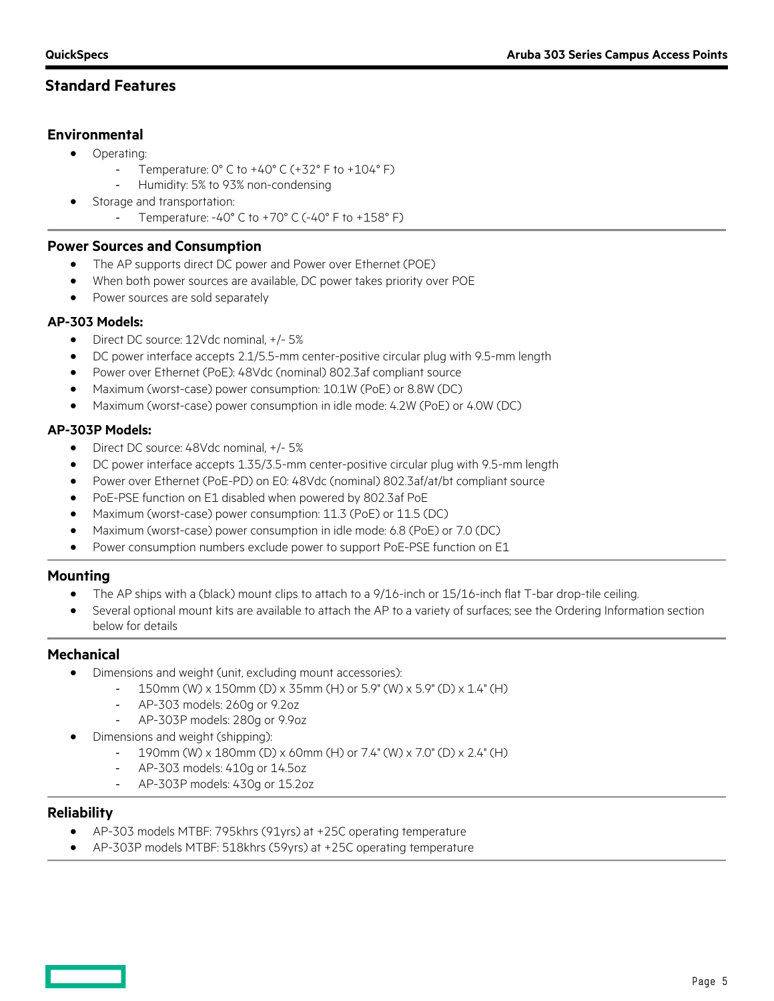## **Environmental**

- Operating:
	- Temperature:  $0^{\circ}$  C to  $+40^{\circ}$  C ( $+32^{\circ}$  F to  $+104^{\circ}$  F)
	- Humidity: 5% to 93% non-condensing
- Storage and transportation:
	- Temperature: -40° C to +70° C (-40° F to +158° F)

### **Power Sources and Consumption**

- The AP supports direct DC power and Power over Ethernet (POE)
- When both power sources are available, DC power takes priority over POE
- Power sources are sold separately

### **AP-303 Models:**

- Direct DC source: 12Vdc nominal, +/- 5%
- DC power interface accepts 2.1/5.5-mm center-positive circular plug with 9.5-mm length
- Power over Ethernet (PoE): 48Vdc (nominal) 802.3af compliant source
- Maximum (worst-case) power consumption: 10.1W (PoE) or 8.8W (DC)
- Maximum (worst-case) power consumption in idle mode: 4.2W (PoE) or 4.0W (DC)

## **AP-303P Models:**

- Direct DC source: 48Vdc nominal, +/- 5%
- DC power interface accepts 1.35/3.5-mm center-positive circular plug with 9.5-mm length
- Power over Ethernet (PoE-PD) on E0: 48Vdc (nominal) 802.3af/at/bt compliant source
- PoE-PSE function on E1 disabled when powered by 802.3af PoE
- Maximum (worst-case) power consumption: 11.3 (PoE) or 11.5 (DC)
- Maximum (worst-case) power consumption in idle mode: 6.8 (PoE) or 7.0 (DC)
- Power consumption numbers exclude power to support PoE-PSE function on E1

## **Mounting**

- The AP ships with a (black) mount clips to attach to a 9/16-inch or 15/16-inch flat T-bar drop-tile ceiling.
- Several optional mount kits are available to attach the AP to a variety of surfaces; see the Ordering Information section below for details

## **Mechanical**

- Dimensions and weight (unit, excluding mount accessories):
	- 150mm (W) x 150mm (D) x 35mm (H) or 5.9" (W) x 5.9" (D) x 1.4" (H)
	- AP-303 models: 260g or 9.2oz
	- AP-303P models: 280g or 9.9oz
- Dimensions and weight (shipping):
	- 190mm (W) x 180mm (D) x 60mm (H) or 7.4" (W) x 7.0" (D) x 2.4" (H)
	- AP-303 models: 410g or 14.5oz
	- AP-303P models: 430g or 15.2oz

#### **Reliability**

- AP-303 models MTBF: 795khrs (91yrs) at +25C operating temperature
- AP-303P models MTBF: 518khrs (59yrs) at +25C operating temperature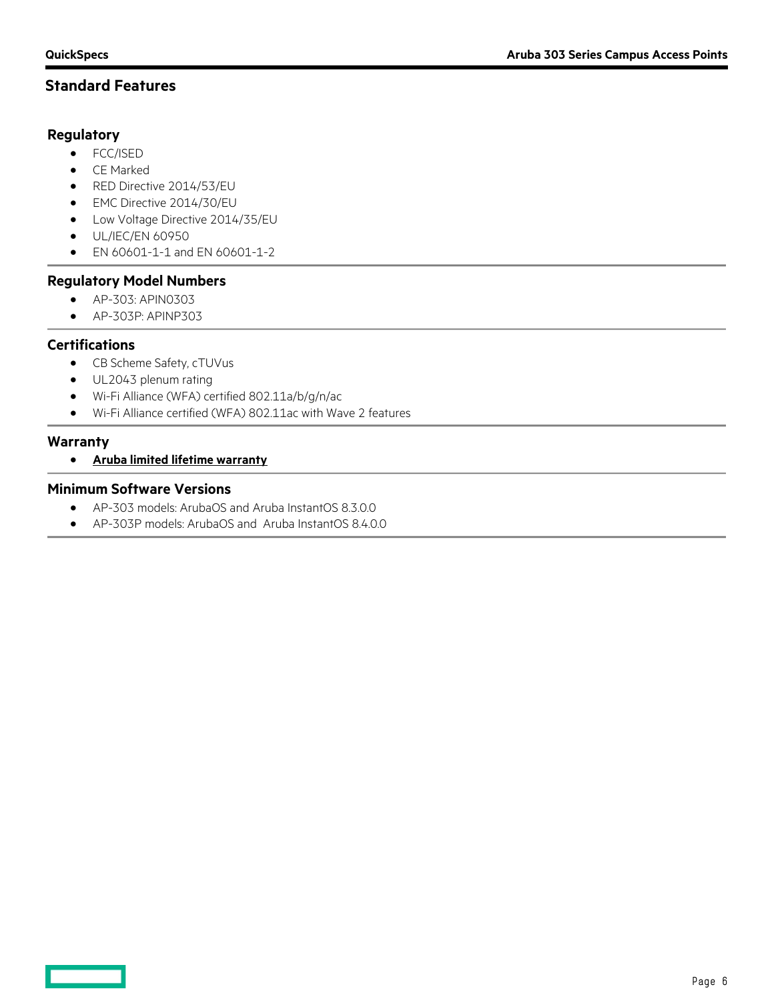#### **Regulatory**

- FCC/ISED
- CE Marked
- RED Directive 2014/53/EU
- EMC Directive 2014/30/EU
- Low Voltage Directive 2014/35/EU
- UL/IEC/EN 60950
- EN 60601-1-1 and EN 60601-1-2

#### **Regulatory Model Numbers**

- AP-303: APIN0303
- AP-303P: APINP303

### **Certifications**

- CB Scheme Safety, cTUVus
- UL2043 plenum rating
- Wi-Fi Alliance (WFA) certified 802.11a/b/g/n/ac
- Wi-Fi Alliance certified (WFA) 802.11ac with Wave 2 features

#### **Warranty**

• **[Aruba limited lifetime warranty](http://www.arubanetworks.com/support-services/product-warranties/)**

### **Minimum Software Versions**

- AP-303 models: ArubaOS and Aruba InstantOS 8.3.0.0
- AP-303P models: ArubaOS and Aruba InstantOS 8.4.0.0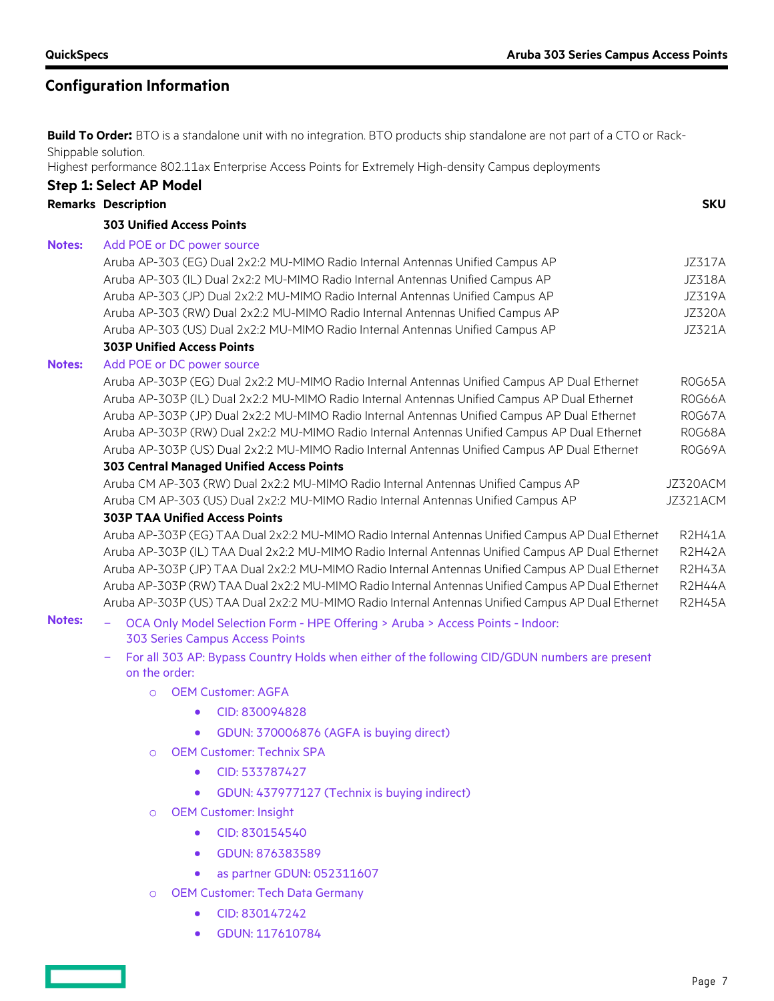# **Configuration Information**

**Build To Order:** BTO is a standalone unit with no integration. BTO products ship standalone are not part of a CTO or Rack-Shippable solution.

Highest performance 802.11ax Enterprise Access Points for Extremely High-density Campus deployments

|                                                                                                                                            | <b>Step 1: Select AP Model</b>                                                                                                                                                                         |                                |  |
|--------------------------------------------------------------------------------------------------------------------------------------------|--------------------------------------------------------------------------------------------------------------------------------------------------------------------------------------------------------|--------------------------------|--|
|                                                                                                                                            | <b>Remarks Description</b>                                                                                                                                                                             | <b>SKU</b>                     |  |
|                                                                                                                                            | <b>303 Unified Access Points</b>                                                                                                                                                                       |                                |  |
| <b>Notes:</b>                                                                                                                              | Add POE or DC power source                                                                                                                                                                             |                                |  |
|                                                                                                                                            | Aruba AP-303 (EG) Dual 2x2:2 MU-MIMO Radio Internal Antennas Unified Campus AP                                                                                                                         | <b>JZ317A</b>                  |  |
|                                                                                                                                            | Aruba AP-303 (IL) Dual 2x2:2 MU-MIMO Radio Internal Antennas Unified Campus AP                                                                                                                         | <b>JZ318A</b>                  |  |
|                                                                                                                                            | Aruba AP-303 (JP) Dual 2x2:2 MU-MIMO Radio Internal Antennas Unified Campus AP                                                                                                                         | <b>JZ319A</b>                  |  |
|                                                                                                                                            | Aruba AP-303 (RW) Dual 2x2:2 MU-MIMO Radio Internal Antennas Unified Campus AP                                                                                                                         | <b>JZ320A</b>                  |  |
|                                                                                                                                            | Aruba AP-303 (US) Dual 2x2:2 MU-MIMO Radio Internal Antennas Unified Campus AP                                                                                                                         | JZ321A                         |  |
|                                                                                                                                            | <b>303P Unified Access Points</b>                                                                                                                                                                      |                                |  |
| <b>Notes:</b>                                                                                                                              | Add POE or DC power source<br>Aruba AP-303P (EG) Dual 2x2:2 MU-MIMO Radio Internal Antennas Unified Campus AP Dual Ethernet                                                                            | ROG65A                         |  |
|                                                                                                                                            | Aruba AP-303P (IL) Dual 2x2:2 MU-MIMO Radio Internal Antennas Unified Campus AP Dual Ethernet                                                                                                          | R0G66A                         |  |
|                                                                                                                                            | Aruba AP-303P (JP) Dual 2x2:2 MU-MIMO Radio Internal Antennas Unified Campus AP Dual Ethernet                                                                                                          | ROG67A                         |  |
|                                                                                                                                            | Aruba AP-303P (RW) Dual 2x2:2 MU-MIMO Radio Internal Antennas Unified Campus AP Dual Ethernet                                                                                                          | ROG68A                         |  |
|                                                                                                                                            | Aruba AP-303P (US) Dual 2x2:2 MU-MIMO Radio Internal Antennas Unified Campus AP Dual Ethernet                                                                                                          | ROG69A                         |  |
| 303 Central Managed Unified Access Points<br>Aruba CM AP-303 (RW) Dual 2x2:2 MU-MIMO Radio Internal Antennas Unified Campus AP<br>JZ320ACM |                                                                                                                                                                                                        |                                |  |
|                                                                                                                                            |                                                                                                                                                                                                        |                                |  |
|                                                                                                                                            | <b>303P TAA Unified Access Points</b>                                                                                                                                                                  |                                |  |
|                                                                                                                                            | Aruba AP-303P (EG) TAA Dual 2x2:2 MU-MIMO Radio Internal Antennas Unified Campus AP Dual Ethernet                                                                                                      | <b>R2H41A</b>                  |  |
|                                                                                                                                            | Aruba AP-303P (IL) TAA Dual 2x2:2 MU-MIMO Radio Internal Antennas Unified Campus AP Dual Ethernet<br>Aruba AP-303P (JP) TAA Dual 2x2:2 MU-MIMO Radio Internal Antennas Unified Campus AP Dual Ethernet | <b>R2H42A</b><br><b>R2H43A</b> |  |
|                                                                                                                                            | Aruba AP-303P (RW) TAA Dual 2x2:2 MU-MIMO Radio Internal Antennas Unified Campus AP Dual Ethernet                                                                                                      | <b>R2H44A</b>                  |  |
|                                                                                                                                            | Aruba AP-303P (US) TAA Dual 2x2:2 MU-MIMO Radio Internal Antennas Unified Campus AP Dual Ethernet                                                                                                      | <b>R2H45A</b>                  |  |
| <b>Notes:</b>                                                                                                                              | OCA Only Model Selection Form - HPE Offering > Aruba > Access Points - Indoor:                                                                                                                         |                                |  |
|                                                                                                                                            | <b>303 Series Campus Access Points</b>                                                                                                                                                                 |                                |  |
|                                                                                                                                            | For all 303 AP: Bypass Country Holds when either of the following CID/GDUN numbers are present<br>on the order:                                                                                        |                                |  |
|                                                                                                                                            | <b>OEM Customer: AGFA</b><br>$\circ$                                                                                                                                                                   |                                |  |
|                                                                                                                                            | CID: 830094828<br>$\bullet$                                                                                                                                                                            |                                |  |
|                                                                                                                                            | GDUN: 370006876 (AGFA is buying direct)<br>$\bullet$                                                                                                                                                   |                                |  |
|                                                                                                                                            | <b>OEM Customer: Technix SPA</b><br>$\Omega$                                                                                                                                                           |                                |  |
|                                                                                                                                            | CID: 533787427                                                                                                                                                                                         |                                |  |
|                                                                                                                                            | GDUN: 437977127 (Technix is buying indirect)                                                                                                                                                           |                                |  |
|                                                                                                                                            | <b>OEM Customer: Insight</b><br>$\circ$                                                                                                                                                                |                                |  |
|                                                                                                                                            | CID: 830154540                                                                                                                                                                                         |                                |  |
|                                                                                                                                            |                                                                                                                                                                                                        |                                |  |

- GDUN: 876383589
- as partner GDUN: 052311607
- o OEM Customer: Tech Data Germany
	- CID: 830147242
	- GDUN: 117610784

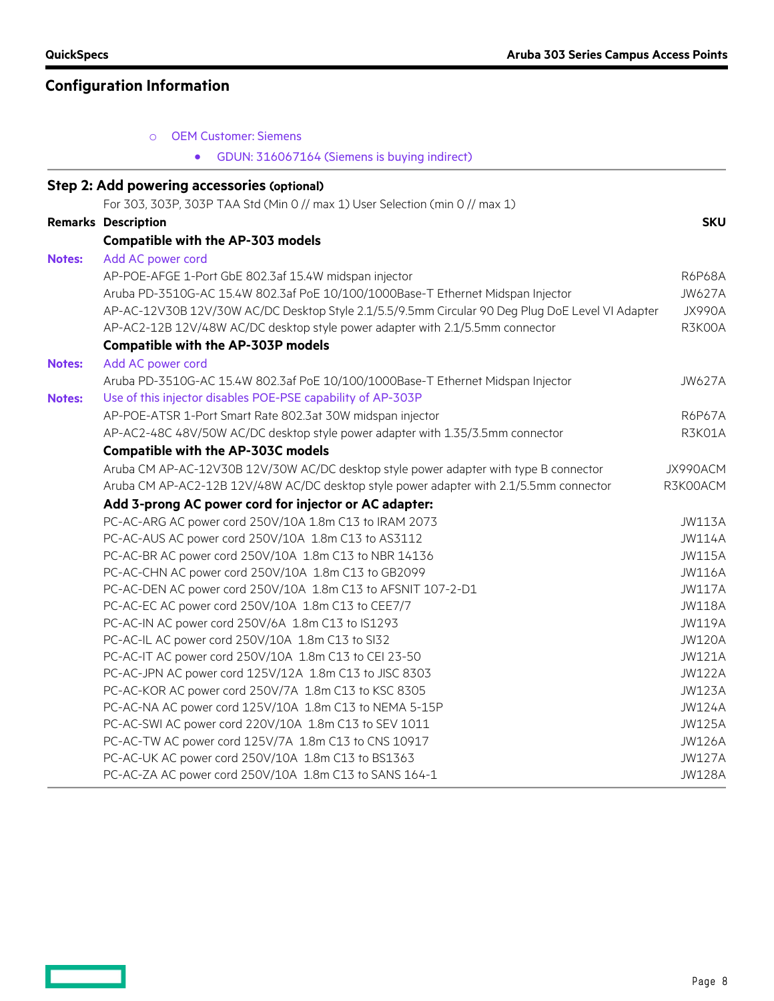$\equiv$   $\equiv$ 

|               | <b>OEM Customer: Siemens</b><br>$\circ$                                                          |               |
|---------------|--------------------------------------------------------------------------------------------------|---------------|
|               | GDUN: 316067164 (Siemens is buying indirect)                                                     |               |
|               | <b>Step 2: Add powering accessories (optional)</b>                                               |               |
|               | For 303, 303P, 303P TAA Std (Min 0 // max 1) User Selection (min 0 // max 1)                     |               |
|               | <b>Remarks Description</b>                                                                       | <b>SKU</b>    |
|               | <b>Compatible with the AP-303 models</b>                                                         |               |
| <b>Notes:</b> | Add AC power cord                                                                                |               |
|               | AP-POE-AFGE 1-Port GbE 802.3af 15.4W midspan injector                                            | R6P68A        |
|               | Aruba PD-3510G-AC 15.4W 802.3af PoE 10/100/1000Base-T Ethernet Midspan Injector                  | <b>JW627A</b> |
|               | AP-AC-12V30B 12V/30W AC/DC Desktop Style 2.1/5.5/9.5mm Circular 90 Deg Plug DoE Level VI Adapter | JX990A        |
|               | AP-AC2-12B 12V/48W AC/DC desktop style power adapter with 2.1/5.5mm connector                    | R3K00A        |
|               | <b>Compatible with the AP-303P models</b>                                                        |               |
| <b>Notes:</b> | Add AC power cord                                                                                |               |
|               | Aruba PD-3510G-AC 15.4W 802.3af PoE 10/100/1000Base-T Ethernet Midspan Injector                  | <b>JW627A</b> |
| <b>Notes:</b> | Use of this injector disables POE-PSE capability of AP-303P                                      |               |
|               | AP-POE-ATSR 1-Port Smart Rate 802.3at 30W midspan injector                                       | R6P67A        |
|               | AP-AC2-48C 48V/50W AC/DC desktop style power adapter with 1.35/3.5mm connector                   | R3K01A        |
|               | <b>Compatible with the AP-303C models</b>                                                        |               |
|               | Aruba CM AP-AC-12V30B 12V/30W AC/DC desktop style power adapter with type B connector            | JX990ACM      |
|               | Aruba CM AP-AC2-12B 12V/48W AC/DC desktop style power adapter with 2.1/5.5mm connector           | R3K00ACM      |
|               | Add 3-prong AC power cord for injector or AC adapter:                                            |               |
|               | PC-AC-ARG AC power cord 250V/10A 1.8m C13 to IRAM 2073                                           | <b>JW113A</b> |
|               | PC-AC-AUS AC power cord 250V/10A 1.8m C13 to AS3112                                              | <b>JW114A</b> |
|               | PC-AC-BR AC power cord 250V/10A 1.8m C13 to NBR 14136                                            | <b>JW115A</b> |
|               | PC-AC-CHN AC power cord 250V/10A 1.8m C13 to GB2099                                              | <b>JW116A</b> |
|               | PC-AC-DEN AC power cord 250V/10A 1.8m C13 to AFSNIT 107-2-D1                                     | <b>JW117A</b> |
|               | PC-AC-EC AC power cord 250V/10A 1.8m C13 to CEE7/7                                               | <b>JW118A</b> |
|               | PC-AC-IN AC power cord 250V/6A 1.8m C13 to IS1293                                                | <b>JW119A</b> |
|               | PC-AC-IL AC power cord 250V/10A 1.8m C13 to SI32                                                 | <b>JW120A</b> |
|               | PC-AC-IT AC power cord 250V/10A 1.8m C13 to CEI 23-50                                            | <b>JW121A</b> |
|               | PC-AC-JPN AC power cord 125V/12A 1.8m C13 to JISC 8303                                           | <b>JW122A</b> |
|               | PC-AC-KOR AC power cord 250V/7A 1.8m C13 to KSC 8305                                             | <b>JW123A</b> |
|               | PC-AC-NA AC power cord 125V/10A 1.8m C13 to NEMA 5-15P                                           | <b>JW124A</b> |
|               | PC-AC-SWI AC power cord 220V/10A 1.8m C13 to SEV 1011                                            | <b>JW125A</b> |
|               | PC-AC-TW AC power cord 125V/7A 1.8m C13 to CNS 10917                                             | <b>JW126A</b> |
|               | PC-AC-UK AC power cord 250V/10A 1.8m C13 to BS1363                                               | <b>JW127A</b> |
|               | PC-AC-ZA AC power cord 250V/10A 1.8m C13 to SANS 164-1                                           | <b>JW128A</b> |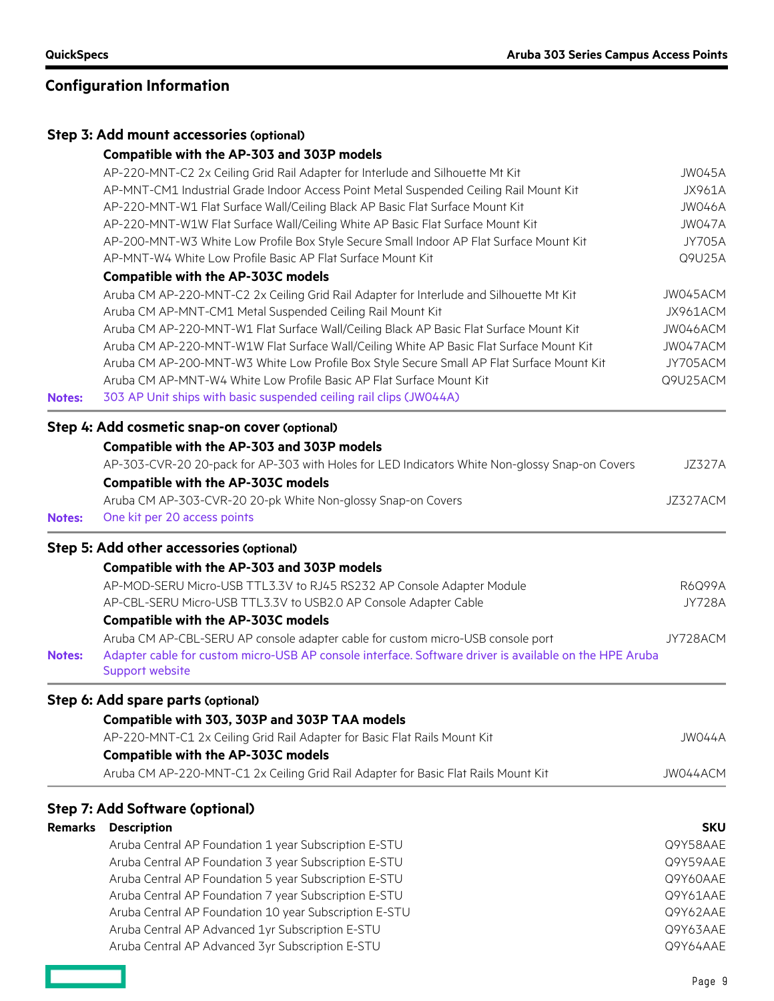**Contract** 

|               | Step 3: Add mount accessories (optional)                                                                                                                                                                                                                                                                                                                                                                                                                                                                                                                                                                                                                                                                                                                                                                                                                                                                                                                                                                                                    |                                                                                                                                    |
|---------------|---------------------------------------------------------------------------------------------------------------------------------------------------------------------------------------------------------------------------------------------------------------------------------------------------------------------------------------------------------------------------------------------------------------------------------------------------------------------------------------------------------------------------------------------------------------------------------------------------------------------------------------------------------------------------------------------------------------------------------------------------------------------------------------------------------------------------------------------------------------------------------------------------------------------------------------------------------------------------------------------------------------------------------------------|------------------------------------------------------------------------------------------------------------------------------------|
|               | Compatible with the AP-303 and 303P models<br>AP-220-MNT-C2 2x Ceiling Grid Rail Adapter for Interlude and Silhouette Mt Kit<br>AP-MNT-CM1 Industrial Grade Indoor Access Point Metal Suspended Ceiling Rail Mount Kit<br>AP-220-MNT-W1 Flat Surface Wall/Ceiling Black AP Basic Flat Surface Mount Kit<br>AP-220-MNT-W1W Flat Surface Wall/Ceiling White AP Basic Flat Surface Mount Kit<br>AP-200-MNT-W3 White Low Profile Box Style Secure Small Indoor AP Flat Surface Mount Kit<br>AP-MNT-W4 White Low Profile Basic AP Flat Surface Mount Kit<br><b>Compatible with the AP-303C models</b><br>Aruba CM AP-220-MNT-C2 2x Ceiling Grid Rail Adapter for Interlude and Silhouette Mt Kit<br>Aruba CM AP-MNT-CM1 Metal Suspended Ceiling Rail Mount Kit<br>Aruba CM AP-220-MNT-W1 Flat Surface Wall/Ceiling Black AP Basic Flat Surface Mount Kit<br>Aruba CM AP-220-MNT-W1W Flat Surface Wall/Ceiling White AP Basic Flat Surface Mount Kit<br>Aruba CM AP-200-MNT-W3 White Low Profile Box Style Secure Small AP Flat Surface Mount Kit | JW045A<br><b>JX961A</b><br>JW046A<br>JW047A<br><b>JY705A</b><br>Q9U25A<br>JW045ACM<br>JX961ACM<br>JW046ACM<br>JW047ACM<br>JY705ACM |
| <b>Notes:</b> | Aruba CM AP-MNT-W4 White Low Profile Basic AP Flat Surface Mount Kit<br>303 AP Unit ships with basic suspended ceiling rail clips (JW044A)                                                                                                                                                                                                                                                                                                                                                                                                                                                                                                                                                                                                                                                                                                                                                                                                                                                                                                  | Q9U25ACM                                                                                                                           |
| <b>Notes:</b> | Step 4: Add cosmetic snap-on cover (optional)<br>Compatible with the AP-303 and 303P models<br>AP-303-CVR-20 20-pack for AP-303 with Holes for LED Indicators White Non-glossy Snap-on Covers<br><b>Compatible with the AP-303C models</b><br>Aruba CM AP-303-CVR-20 20-pk White Non-glossy Snap-on Covers<br>One kit per 20 access points                                                                                                                                                                                                                                                                                                                                                                                                                                                                                                                                                                                                                                                                                                  | <b>JZ327A</b><br>JZ327ACM                                                                                                          |
| <b>Notes:</b> | Step 5: Add other accessories (optional)<br>Compatible with the AP-303 and 303P models<br>AP-MOD-SERU Micro-USB TTL3.3V to RJ45 RS232 AP Console Adapter Module<br>AP-CBL-SERU Micro-USB TTL3.3V to USB2.0 AP Console Adapter Cable<br><b>Compatible with the AP-303C models</b><br>Aruba CM AP-CBL-SERU AP console adapter cable for custom micro-USB console port<br>Adapter cable for custom micro-USB AP console interface. Software driver is available on the HPE Aruba                                                                                                                                                                                                                                                                                                                                                                                                                                                                                                                                                               | R6Q99A<br><b>JY728A</b><br>JY728ACM                                                                                                |
|               | Support website<br>Step 6: Add spare parts (optional)<br>Compatible with 303, 303P and 303P TAA models<br>AP-220-MNT-C1 2x Ceiling Grid Rail Adapter for Basic Flat Rails Mount Kit<br><b>Compatible with the AP-303C models</b><br>Aruba CM AP-220-MNT-C1 2x Ceiling Grid Rail Adapter for Basic Flat Rails Mount Kit                                                                                                                                                                                                                                                                                                                                                                                                                                                                                                                                                                                                                                                                                                                      | JW044A<br>JW044ACM                                                                                                                 |
|               | <b>Step 7: Add Software (optional)</b><br><b>Remarks Description</b>                                                                                                                                                                                                                                                                                                                                                                                                                                                                                                                                                                                                                                                                                                                                                                                                                                                                                                                                                                        | <b>SKU</b>                                                                                                                         |

| Aruba Central AP Foundation 1 year Subscription E-STU  | Q9Y58AAE |
|--------------------------------------------------------|----------|
| Aruba Central AP Foundation 3 year Subscription E-STU  | Q9Y59AAE |
| Aruba Central AP Foundation 5 year Subscription E-STU  | Q9Y60AAE |
| Aruba Central AP Foundation 7 year Subscription E-STU  | Q9Y61AAE |
| Aruba Central AP Foundation 10 year Subscription E-STU | Q9Y62AAE |
| Aruba Central AP Advanced 1yr Subscription E-STU       | Q9Y63AAE |
| Aruba Central AP Advanced 3yr Subscription E-STU       | Q9Y64AAE |
|                                                        |          |

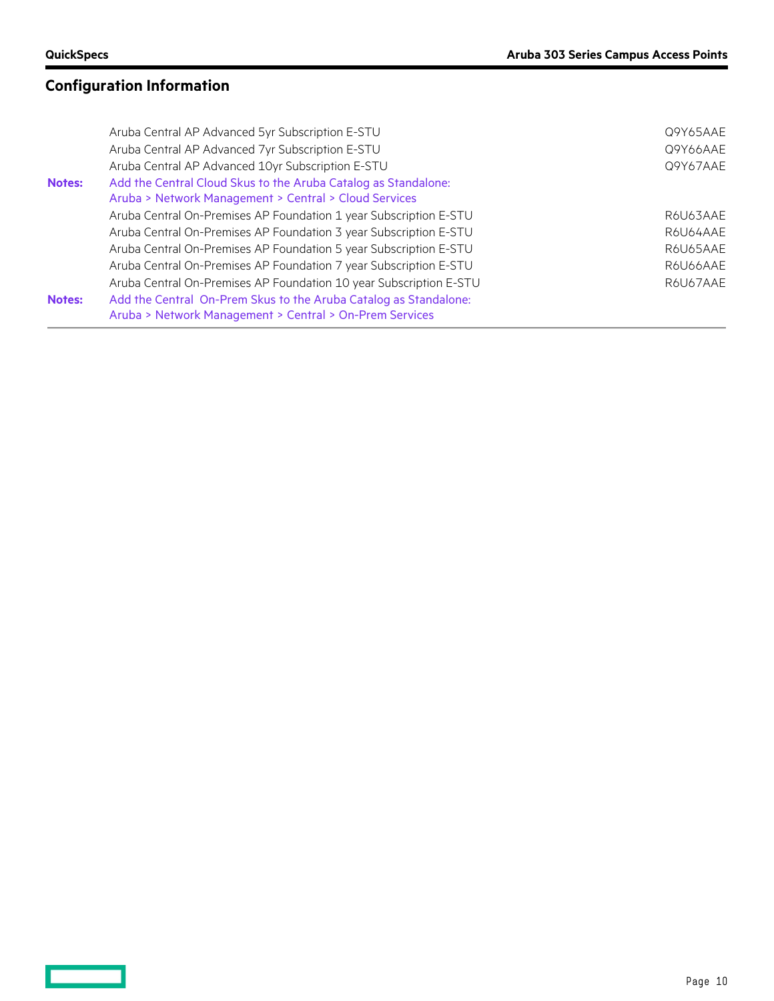$\qquad \qquad =$ 

# **Configuration Information**

|               | Aruba Central AP Advanced 5yr Subscription E-STU                   | Q9Y65AAE |
|---------------|--------------------------------------------------------------------|----------|
|               | Aruba Central AP Advanced 7yr Subscription E-STU                   | Q9Y66AAE |
|               | Aruba Central AP Advanced 10yr Subscription E-STU                  | Q9Y67AAE |
| <b>Notes:</b> | Add the Central Cloud Skus to the Aruba Catalog as Standalone:     |          |
|               | Aruba > Network Management > Central > Cloud Services              |          |
|               | Aruba Central On-Premises AP Foundation 1 year Subscription E-STU  | R6U63AAE |
|               | Aruba Central On-Premises AP Foundation 3 year Subscription E-STU  | R6U64AAE |
|               | Aruba Central On-Premises AP Foundation 5 year Subscription E-STU  | R6U65AAE |
|               | Aruba Central On-Premises AP Foundation 7 year Subscription E-STU  | R6U66AAE |
|               | Aruba Central On-Premises AP Foundation 10 year Subscription E-STU | R6U67AAE |
| <b>Notes:</b> | Add the Central On-Prem Skus to the Aruba Catalog as Standalone:   |          |
|               | Aruba > Network Management > Central > On-Prem Services            |          |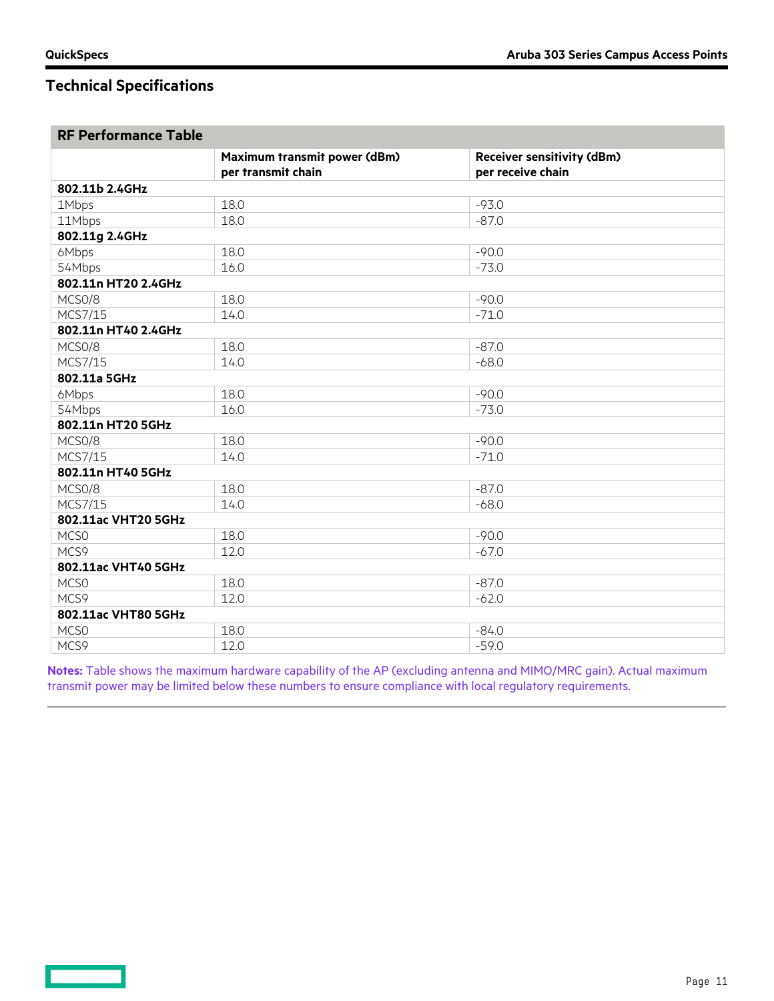**Contract Contract** 

# **Technical Specifications**

| <b>RF Performance Table</b> |                              |                                   |  |  |
|-----------------------------|------------------------------|-----------------------------------|--|--|
|                             | Maximum transmit power (dBm) | <b>Receiver sensitivity (dBm)</b> |  |  |
|                             | per transmit chain           | per receive chain                 |  |  |
| 802.11b 2.4GHz              |                              |                                   |  |  |
| 18.0<br>1Mbps               |                              | $-93.0$                           |  |  |
| 18.0<br>11Mbps              |                              | $-87.0$                           |  |  |
| 802.11g 2.4GHz              |                              |                                   |  |  |
| 6Mbps                       | 18.0                         | $-90.0$                           |  |  |
| 54Mbps                      | 16.0                         | $-73.0$                           |  |  |
| 802.11n HT20 2.4GHz         |                              |                                   |  |  |
| MCSO/8                      | 18.0                         | $-90.0$                           |  |  |
| MCS7/15                     | 14.0                         | $-71.0$                           |  |  |
| 802.11n HT40 2.4GHz         |                              |                                   |  |  |
| MCSO/8                      | 18.0                         | $-87.0$                           |  |  |
| MCS7/15                     | 14.0                         | $-68.0$                           |  |  |
| 802.11a 5GHz                |                              |                                   |  |  |
| 6Mbps                       | 18.0                         | $-90.0$                           |  |  |
| 54Mbps                      | 16.0                         | $-73.0$                           |  |  |
| 802.11n HT20 5GHz           |                              |                                   |  |  |
| MCSO/8                      | 18.0                         | $-90.0$                           |  |  |
| MCS7/15                     | 14.0                         | $-71.0$                           |  |  |
| 802.11n HT40 5GHz           |                              |                                   |  |  |
| MCSO/8                      | 18.0                         | $-87.0$                           |  |  |
| MCS7/15                     | 14.0                         | $-68.0$                           |  |  |
| 802.11ac VHT20 5GHz         |                              |                                   |  |  |
| MCS <sub>0</sub>            | 18.0                         | $-90.0$                           |  |  |
| MCS9                        | 12.0                         | $-67.0$                           |  |  |
| 802.11ac VHT40 5GHz         |                              |                                   |  |  |
| MCS <sub>0</sub><br>18.0    |                              | $-87.0$                           |  |  |
| MCS9                        | 12.0                         | $-62.0$                           |  |  |
| 802.11ac VHT80 5GHz         |                              |                                   |  |  |
| MCSO                        | 18.0                         | $-84.0$                           |  |  |
| MCS9<br>12.0                |                              | $-59.0$                           |  |  |

**Notes:** Table shows the maximum hardware capability of the AP (excluding antenna and MIMO/MRC gain). Actual maximum transmit power may be limited below these numbers to ensure compliance with local regulatory requirements.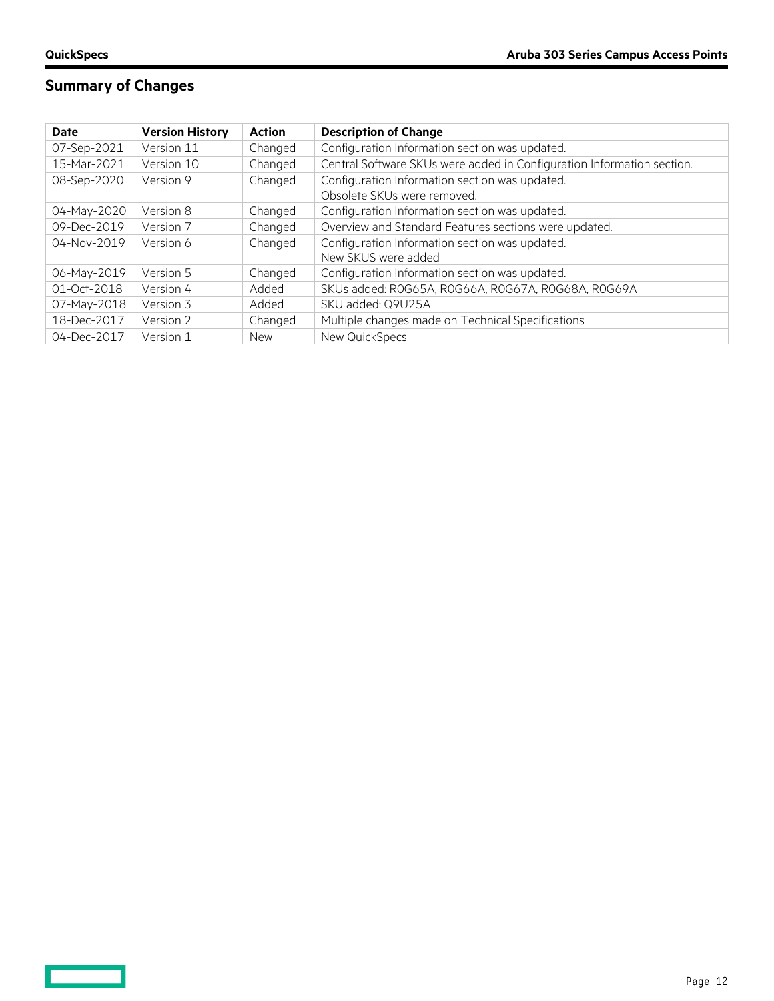$\equiv$   $\equiv$ 

# **Summary of Changes**

| <b>Date</b> | <b>Version History</b> | <b>Action</b> | <b>Description of Change</b>                                           |  |
|-------------|------------------------|---------------|------------------------------------------------------------------------|--|
| 07-Sep-2021 | Version 11             | Changed       | Configuration Information section was updated.                         |  |
| 15-Mar-2021 | Version 10             | Changed       | Central Software SKUs were added in Configuration Information section. |  |
| 08-Sep-2020 | Version 9              | Changed       | Configuration Information section was updated.                         |  |
|             |                        |               | Obsolete SKUs were removed.                                            |  |
| 04-May-2020 | Version 8              | Changed       | Configuration Information section was updated.                         |  |
| 09-Dec-2019 | Version 7              | Changed       | Overview and Standard Features sections were updated.                  |  |
| 04-Nov-2019 | Version 6              | Changed       | Configuration Information section was updated.                         |  |
|             |                        |               | New SKUS were added                                                    |  |
| 06-May-2019 | Version 5              | Changed       | Configuration Information section was updated.                         |  |
| 01-Oct-2018 | Version 4              | Added         | SKUs added: ROG65A, ROG66A, ROG67A, ROG68A, ROG69A                     |  |
| 07-May-2018 | Version 3              | Added         | SKU added: Q9U25A                                                      |  |
| 18-Dec-2017 | Version 2              | Changed       | Multiple changes made on Technical Specifications                      |  |
| 04-Dec-2017 | Version 1              | <b>New</b>    | New QuickSpecs                                                         |  |